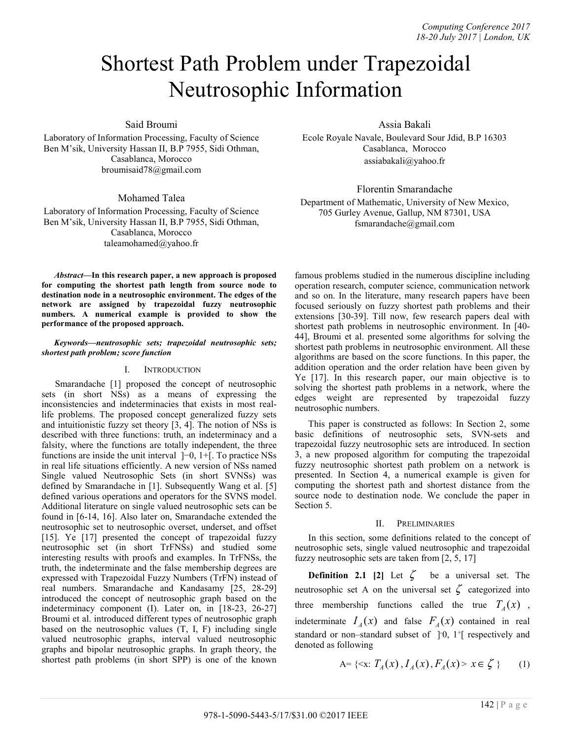# Shortest Path Problem under Trapezoidal Neutrosophic Information

Said Broumi

Laboratory of Information Processing, Faculty of Science Ben M'sik, University Hassan II, B.P 7955, Sidi Othman, Casablanca, Morocco broumisaid78@gmail.com

Mohamed Talea

Laboratory of Information Processing, Faculty of Science Ben M'sik, University Hassan II, B.P 7955, Sidi Othman, Casablanca, Morocco taleamohamed@yahoo.fr

*Abstract***—In this research paper, a new approach is proposed for computing the shortest path length from source node to destination node in a neutrosophic environment. The edges of the network are assigned by trapezoidal fuzzy neutrosophic numbers. A numerical example is provided to show the performance of the proposed approach.** 

### *Keywords—neutrosophic sets; trapezoidal neutrosophic sets; shortest path problem; score function*

## I. INTRODUCTION

Smarandache [1] proposed the concept of neutrosophic sets (in short NSs) as a means of expressing the inconsistencies and indeterminacies that exists in most reallife problems. The proposed concept generalized fuzzy sets and intuitionistic fuzzy set theory [3, 4]. The notion of NSs is described with three functions: truth, an indeterminacy and a falsity, where the functions are totally independent, the three functions are inside the unit interval ]−0, 1+[. To practice NSs in real life situations efficiently. A new version of NSs named Single valued Neutrosophic Sets (in short SVNSs) was defined by Smarandache in [1]. Subsequently Wang et al. [5] defined various operations and operators for the SVNS model. Additional literature on single valued neutrosophic sets can be found in [6-14, 16]. Also later on, Smarandache extended the neutrosophic set to neutrosophic overset, underset, and offset [15]. Ye [17] presented the concept of trapezoidal fuzzy neutrosophic set (in short TrFNSs) and studied some interesting results with proofs and examples. In TrFNSs, the truth, the indeterminate and the false membership degrees are expressed with Trapezoidal Fuzzy Numbers (TrFN) instead of real numbers. Smarandache and Kandasamy [25, 28-29] introduced the concept of neutrosophic graph based on the indeterminacy component (I). Later on, in [18-23, 26-27] Broumi et al. introduced different types of neutrosophic graph based on the neutrosophic values (T, I, F) including single valued neutrosophic graphs, interval valued neutrosophic graphs and bipolar neutrosophic graphs. In graph theory, the shortest path problems (in short SPP) is one of the known Assia Bakali

Ecole Royale Navale, Boulevard Sour Jdid, B.P 16303 Casablanca, Morocco assiabakali@yahoo.fr

Florentin Smarandache

Department of Mathematic, University of New Mexico, 705 Gurley Avenue, Gallup, NM 87301, USA fsmarandache@gmail.com

famous problems studied in the numerous discipline including operation research, computer science, communication network and so on. In the literature, many research papers have been focused seriously on fuzzy shortest path problems and their extensions [30-39]. Till now, few research papers deal with shortest path problems in neutrosophic environment. In [40- 44], Broumi et al. presented some algorithms for solving the shortest path problems in neutrosophic environment. All these algorithms are based on the score functions. In this paper, the addition operation and the order relation have been given by Ye [17]. In this research paper, our main objective is to solving the shortest path problems in a network, where the edges weight are represented by trapezoidal fuzzy neutrosophic numbers.

This paper is constructed as follows: In Section 2, some basic definitions of neutrosophic sets, SVN-sets and trapezoidal fuzzy neutrosophic sets are introduced. In section 3, a new proposed algorithm for computing the trapezoidal fuzzy neutrosophic shortest path problem on a network is presented. In Section 4, a numerical example is given for computing the shortest path and shortest distance from the source node to destination node. We conclude the paper in Section 5.

## II. PRELIMINARIES

In this section, some definitions related to the concept of neutrosophic sets, single valued neutrosophic and trapezoidal fuzzy neutrosophic sets are taken from [2, 5, 17]

**Definition 2.1 [2]** Let  $\zeta$  be a universal set. The neutrosophic set A on the universal set  $\zeta$  categorized into three membership functions called the true  $T_A(x)$ , indeterminate  $I_A(x)$  and false  $F_A(x)$  contained in real standard or non-standard subset of  $\ ]0, 1^+$  respectively and denoted as following

A= {A(x), I<sub>A</sub>(x), F<sub>A</sub>(x) > x 
$$
\in \zeta
$$
 } (1)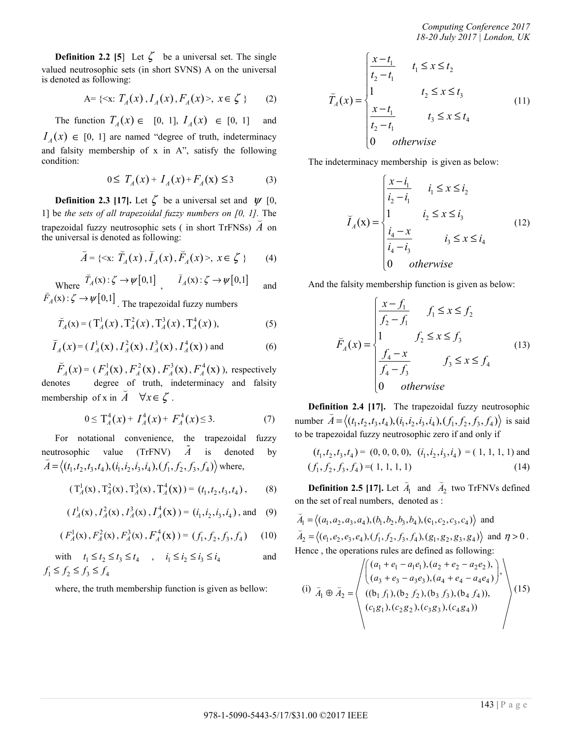*Computing Conference 2017 18-20 July 2017 | London, UK* 

**Definition 2.2** [5] Let  $\zeta$  be a universal set. The single valued neutrosophic sets (in short SVNS) A on the universal is denoted as following:

A= {A(x), I<sub>A</sub>(x), F<sub>A</sub>(x)>, x ∈ 
$$
\zeta
$$
} (2)

The function  $T_A(x) \in [0, 1]$ ,  $I_A(x) \in [0, 1]$  and  $I_A(x) \in [0, 1]$  are named "degree of truth, indeterminacy

and falsity membership of x in A", satisfy the following condition:

$$
0 \le T_A(x) + I_A(x) + F_A(x) \le 3 \tag{3}
$$

**Definition 2.3 [17].** Let  $\zeta$  be a universal set and  $\psi$  [0, 1] be *the sets of all trapezoidal fuzzy numbers on [0, 1].* The trapezoidal fuzzy neutrosophic sets ( in short TrFNSs) *A* on the universal is denoted as following:

$$
\breve{A} = \{ \langle x, \breve{T}_A(x), \breve{I}_A(x), \breve{F}_A(x) \rangle, \ x \in \zeta \ \}
$$
 (4)

Where  $\overline{T}_A(x)$ :  $\zeta \to \psi[0,1]$ ,  $\overline{I}_A(x)$ :  $\zeta \to \psi[0,1]$  and where  $\overrightarrow{F}_A(x): \zeta \to \psi[0,1]$ . The trapezoidal fuzzy numbers

$$
\widetilde{T}_A(x) = (\mathrm{T}_A^1(x), \mathrm{T}_A^2(x), \mathrm{T}_A^3(x), \mathrm{T}_A^4(x)), \tag{5}
$$

$$
\tilde{I}_A(x) = (I_A^1(x), I_A^2(x), I_A^3(x), I_A^4(x))
$$
 and (6)

 $\widetilde{F}_A(x) = (F_A^1(x), F_A^2(x), F_A^3(x), F_A^4(x))$ , respectively denotes degree of truth, indeterminacy and falsity membership of x in  $A \quad \forall x \in \zeta$ .

$$
0 \le T_A^4(x) + I_A^4(x) + F_A^4(x) \le 3. \tag{7}
$$

For notational convenience, the trapezoidal fuzzy neutrosophic value  $(TrFNV)$   $\tilde{A}$  is denoted by  $\breve{A} = \langle (t_1, t_2, t_3, t_4), (t_1, t_2, t_3, t_4), (f_1, f_2, f_3, f_4) \rangle$  where,

$$
(T_A^1(x), T_A^2(x), T_A^3(x), T_A^4(x)) = (t_1, t_2, t_3, t_4),
$$
 (8)

$$
(I_A^1(x), I_A^2(x), I_A^3(x), I_A^4(x)) = (i_1, i_2, i_3, i_4)
$$
, and (9)

$$
(F_A^1(\mathbf{x}), F_A^2(\mathbf{x}), F_A^3(\mathbf{x}), F_A^4(\mathbf{x})) = (f_1, f_2, f_3, f_4) \quad (10)
$$

with  $t_1 \le t_2 \le t_3 \le t_4$ ,  $i_1 \le i_2 \le i_3 \le i_4$  and  $f_1 \leq f_2 \leq f_3 \leq f_4$ 

where, the truth membership function is given as bellow:

$$
\widetilde{T}_A(x) = \begin{cases}\n\frac{x - t_1}{t_2 - t_1} & t_1 \leq x \leq t_2 \\
1 & t_2 \leq x \leq t_3 \\
\frac{x - t_1}{t_2 - t_1} & t_3 \leq x \leq t_4 \\
0 & \text{otherwise}\n\end{cases} \tag{11}
$$

The indeterminacy membership is given as below:

$$
\bar{I}_A(\mathbf{x}) = \begin{cases}\n\frac{x - i_1}{i_2 - i_1} & i_1 \le x \le i_2 \\
1 & i_2 \le x \le i_3 \\
\frac{i_4 - x}{i_4 - i_3} & i_3 \le x \le i_4 \\
0 & \text{otherwise}\n\end{cases} \tag{12}
$$

And the falsity membership function is given as below:

$$
\widetilde{F}_A(x) = \begin{cases}\n\frac{x - f_1}{f_2 - f_1} & f_1 \le x \le f_2 \\
1 & f_2 \le x \le f_3 \\
\frac{f_4 - x}{f_4 - f_3} & f_3 \le x \le f_4 \\
0 & \text{otherwise}\n\end{cases}
$$
\n(13)

**Definition 2.4 [17].** The trapezoidal fuzzy neutrosophic number  $\breve{A} = \langle (t_1, t_2, t_3, t_4), (t_1, t_2, t_3, t_4), (f_1, f_2, f_3, f_4) \rangle$  is said to be trapezoidal fuzzy neutrosophic zero if and only if

$$
(t1, t2, t3, t4) = (0, 0, 0, 0), (i1, i2, i3, i4) = (1, 1, 1, 1) and (f1, f2, f3, f4) = (1, 1, 1, 1, 1)
$$
(14)

**Definition 2.5 [17].** Let *A*<sup>1</sup> Ų and  $\tilde{A}_2$  two TrFNVs defined on the set of real numbers, denoted as :

$$
\overline{A}_1 = \langle (a_1, a_2, a_3, a_4), (b_1, b_2, b_3, b_4), (c_1, c_2, c_3, c_4) \rangle \text{ and } \n\overline{A}_2 = \langle (e_1, e_2, e_3, e_4), (f_1, f_2, f_3, f_4), (g_1, g_2, g_3, g_4) \rangle \text{ and } \eta > 0. \n\text{Hence, the operations rules are defined as following:}\n\sqrt{(a_1 + e_1 - a_1 e_1), (a_2 + e_2 - a_2 e_2),}
$$

(i) 
$$
\tilde{A}_1 \oplus \tilde{A}_2 = \begin{pmatrix} (a_1 + e_1 - a_1e_1), (a_2 + e_2 - a_2e_2), \\ (a_3 + e_3 - a_3e_3), (a_4 + e_4 - a_4e_4), \\ ((b_1 f_1), (b_2 f_2), (b_3 f_3), (b_4 f_4)), \\ (c_1 g_1), (c_2 g_2), (c_3 g_3), (c_4 g_4) \end{pmatrix}
$$
 (15)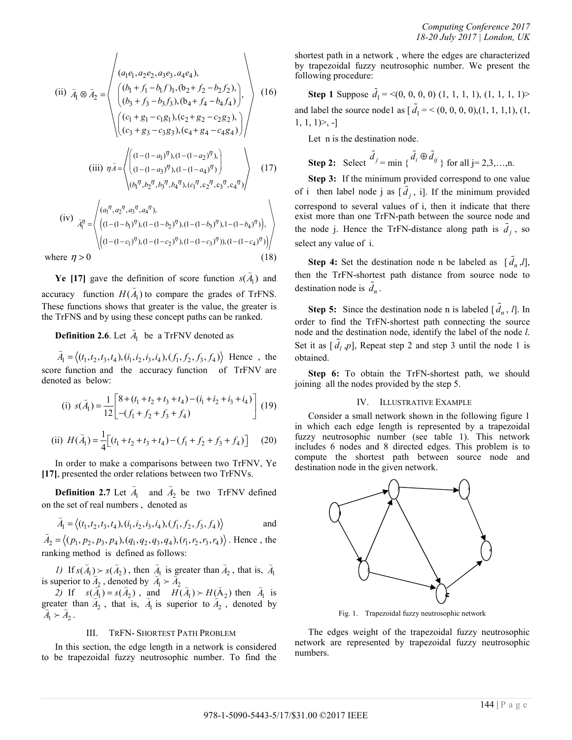(ii) 
$$
\vec{A}_1 \otimes \vec{A}_2 = \begin{pmatrix} (a_1e_1, a_2e_2, a_3e_3, a_4e_4), & (b_1 + f_1 - b_1f)_1, (b_2 + f_2 - b_2f_2), (b_3 + f_3 - b_3f_3), (b_4 + f_4 - b_4f_4), (c_1 + g_1 - c_1g_1), (c_2 + g_2 - c_2g_2), (c_3 + g_3 - c_3g_3), (c_4 + g_4 - c_4g_4) \end{pmatrix}
$$
 (16)  
\n(iii) 
$$
\vec{nA} = \begin{pmatrix} (1 - (1 - a_1)^{\eta}), (1 - (1 - a_2)^{\eta}), (1 - (1 - a_3)^{\eta}), (1 - (1 - a_4)^{\eta}) \end{pmatrix}
$$
 (17)  
\n(iv) 
$$
\vec{A}_1^{\eta} = \begin{pmatrix} (a_1^{\eta}, a_2^{\eta}, a_3^{\eta}, a_4^{\eta}), ((1 - (1 - b_1)^{\eta}), (1 - (1 - b_2)^{\eta}), (1 - (1 - b_3)^{\eta}), 1 - (1 - b_4)^{\eta}), \end{pmatrix}
$$

where  $\eta > 0$  (18)

**Ye** [17] gave the definition of score function  $s(\vec{A}_1)$  and accuracy function  $H(\vec{A}_1)$  to compare the grades of TrFNS. These functions shows that greater is the value, the greater is the TrFNS and by using these concept paths can be ranked.

 $((1-(1-c_1)^{\eta}), (1-(1-c_2)^{\eta}), (1-(1-c_3)^{\eta})), (1-(1-c_4)^{\eta})$ 

**Definition 2.6**. Let *A*<sup>1</sup> Ų be a TrFNV denoted as

 $\widetilde{A}_1 = \langle (t_1, t_2, t_3, t_4), (i_1, i_2, i_3, i_4), (f_1, f_2, f_3, f_4) \rangle$  Hence, the score function and the accuracy function of TrFNV are denoted as below:

(i) 
$$
s(\vec{A}_1) = \frac{1}{12} \begin{bmatrix} 8 + (t_1 + t_2 + t_3 + t_4) - (i_1 + i_2 + i_3 + i_4) \\ -(f_1 + f_2 + f_3 + f_4) \end{bmatrix}
$$
 (19)

(ii) 
$$
H(\check{A}_1) = \frac{1}{4} \Big[ (t_1 + t_2 + t_3 + t_4) - (f_1 + f_2 + f_3 + f_4) \Big]
$$
 (20)

In order to make a comparisons between two TrFNV, Ye **[17]**, presented the order relations between two TrFNVs.

**Definition 2.7** Let *A*<sup>1</sup> J and  $\tilde{A}_2$  be two TrFNV defined on the set of real numbers , denoted as

$$
\breve{A}_1 = \langle (t_1, t_2, t_3, t_4), (i_1, i_2, i_3, i_4), (f_1, f_2, f_3, f_4) \rangle
$$
 and

 $\breve{A}_2 = \langle (p_1, p_2, p_3, p_4), (q_1, q_2, q_3, q_4), (r_1, r_2, r_3, r_4) \rangle$ . Hence, the ranking method is defined as follows:

*1)* If  $s(\overline{A}_1) > s(\overline{A}_2)$ , then  $\overline{A}_1$  is greater than  $\overline{A}_2$ , that is,  $\overline{A}_1$ is superior to  $A_2$ , denoted by  $A_1 \succ A_2$ <br>is superior to  $A_2$ , denoted by  $A_1 \succ A_2$ 

z) If  $s(A_1) = s(A_2)$ , and  $H(A_1) > H(A_2)$  then  $A_1$  is 2) It  $s(A_1) = s(A_2)$ , and  $H(A_1) > H(A_2)$  then  $A_1$  is<br>greater than  $A_2$ , that is,  $A_1$  is superior to  $A_2$ , denoted by greater tr<br> $\overline{A}_1 \succ \overline{A}_2$ .

#### III. TRFN- SHORTEST PATH PROBLEM

In this section, the edge length in a network is considered to be trapezoidal fuzzy neutrosophic number. To find the shortest path in a network , where the edges are characterized by trapezoidal fuzzy neutrosophic number. We present the following procedure:

**Step 1** Suppose  $\tilde{d}_1 = \langle (0, 0, 0, 0), (1, 1, 1, 1), (1, 1, 1, 1) \rangle$ and label the source node1 as  $[\tilde{d}_1 = < (0, 0, 0, 0), (1, 1, 1, 1), (1, 1, 1)]$  $1, 1, 1 \geq -1$ 

Let n is the destination node.

**Step 2:** Select 
$$
\tilde{d}_j = \min \{ \tilde{d}_i \oplus \tilde{d}_{ij} \}
$$
 for all  $j = 2, 3, ..., n$ .

**Step 3:** If the minimum provided correspond to one value of i then label node j as  $[\tilde{d}_j, i]$ . If the minimum provided correspond to several values of i, then it indicate that there exist more than one TrFN-path between the source node and the node j. Hence the TrFN-distance along path is  $\tilde{d}_j$ , so select any value of i.

**Step 4:** Set the destination node n be labeled as  $[\tilde{d}_n, l]$ , then the TrFN-shortest path distance from source node to destination node is  $\tilde{d}_n$ .

**Step 5:** Since the destination node n is labeled  $[\tilde{d}_n, l]$ . In order to find the TrFN-shortest path connecting the source node and the destination node, identify the label of the node *l*. Set it as  $[\tilde{d}_l, p]$ , Repeat step 2 and step 3 until the node 1 is obtained.

**Step 6:** To obtain the TrFN-shortest path, we should joining all the nodes provided by the step 5.

#### IV. ILLUSTRATIVE EXAMPLE

Consider a small network shown in the following figure 1 in which each edge length is represented by a trapezoidal fuzzy neutrosophic number (see table 1). This network includes 6 nodes and 8 directed edges. This problem is to compute the shortest path between source node and destination node in the given network.



Fig. 1. Trapezoidal fuzzy neutrosophic network

The edges weight of the trapezoidal fuzzy neutrosophic network are represented by trapezoidal fuzzy neutrosophic numbers.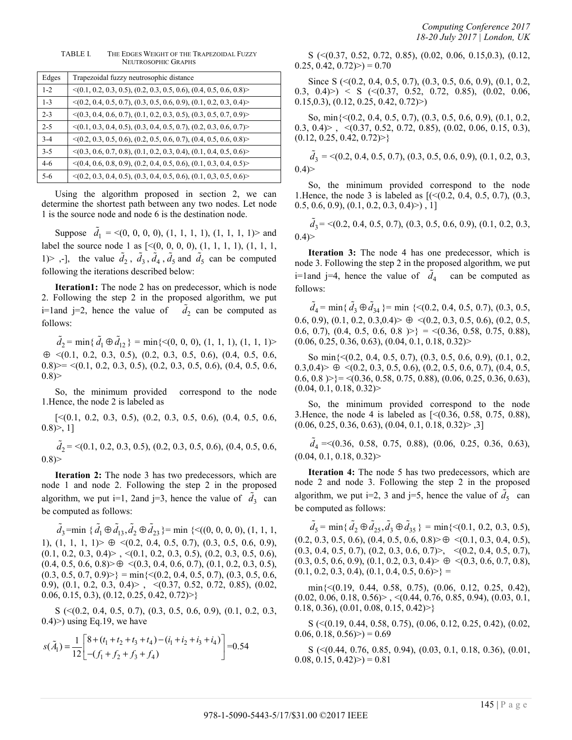| Edges   | Trapezoidal fuzzy neutrosophic distance                                            |
|---------|------------------------------------------------------------------------------------|
| $1 - 2$ | $\leq$ (0.1, 0.2, 0.3, 0.5), (0.2, 0.3, 0.5, 0.6), (0.4, 0.5, 0.6, 0.8) $\geq$     |
| $1 - 3$ | $\langle (0.2, 0.4, 0.5, 0.7), (0.3, 0.5, 0.6, 0.9), (0.1, 0.2, 0.3, 0.4) \rangle$ |
| $2 - 3$ | $\langle (0.3, 0.4, 0.6, 0.7), (0.1, 0.2, 0.3, 0.5), (0.3, 0.5, 0.7, 0.9) \rangle$ |
| $2 - 5$ | $\langle (0.1, 0.3, 0.4, 0.5), (0.3, 0.4, 0.5, 0.7), (0.2, 0.3, 0.6, 0.7) \rangle$ |
| $3 - 4$ | $\langle (0.2, 0.3, 0.5, 0.6), (0.2, 0.5, 0.6, 0.7), (0.4, 0.5, 0.6, 0.8) \rangle$ |
| $3 - 5$ | $\langle (0.3, 0.6, 0.7, 0.8), (0.1, 0.2, 0.3, 0.4), (0.1, 0.4, 0.5, 0.6) \rangle$ |
| $4-6$   | $\langle (0.4, 0.6, 0.8, 0.9), (0.2, 0.4, 0.5, 0.6), (0.1, 0.3, 0.4, 0.5) \rangle$ |
| 5-6     | $\langle (0.2, 0.3, 0.4, 0.5), (0.3, 0.4, 0.5, 0.6), (0.1, 0.3, 0.5, 0.6) \rangle$ |

TABLE I. THE EDGES WEIGHT OF THE TRAPEZOIDAL FUZZY NEUTROSOPHIC GRAPHS

Using the algorithm proposed in section 2, we can determine the shortest path between any two nodes. Let node 1 is the source node and node 6 is the destination node.

Suppose  $\tilde{d}_1$  = <(0, 0, 0, 0), (1, 1, 1, 1), (1, 1, 1, 1)> and label the source node 1 as  $[<(0, 0, 0, 0), (1, 1, 1, 1), (1, 1, 1, 1)]$ 1) > ,-], the value  $\tilde{d}_2$ ,  $\tilde{d}_3$ ,  $\tilde{d}_4$ ,  $\tilde{d}_5$  and  $\tilde{d}_5$  can be computed following the iterations described below:

**Iteration1:** The node 2 has on predecessor, which is node 2. Following the step 2 in the proposed algorithm, we put i=1and j=2, hence the value of  $\tilde{d}_2$  can be computed as follows:

 $\tilde{d}_2$  = min{ $\tilde{d}_1 \oplus \tilde{d}_{12}$ } = min{<(0, 0, 0), (1, 1, 1), (1, 1, 1)>  $\oplus \langle (0.1, 0.2, 0.3, 0.5), (0.2, 0.3, 0.5, 0.6), (0.4, 0.5, 0.6,$  $(0.8)$  = <(0.1, 0.2, 0.3, 0.5), (0.2, 0.3, 0.5, 0.6), (0.4, 0.5, 0.6,  $0.8$ )

So, the minimum provided correspond to the node 1.Hence, the node 2 is labeled as

 $\lceil \leq (0.1, 0.2, 0.3, 0.5), (0.2, 0.3, 0.5, 0.6), (0.4, 0.5, 0.6,$  $0.8$ ) $> 1$ ]

 $\tilde{d}_2$  = <(0.1, 0.2, 0.3, 0.5), (0.2, 0.3, 0.5, 0.6), (0.4, 0.5, 0.6,  $0.8$ )

**Iteration 2:** The node 3 has two predecessors, which are node 1 and node 2. Following the step 2 in the proposed algorithm, we put i=1, 2and j=3, hence the value of  $\tilde{d}_3$  can be computed as follows:

 $\tilde{d}_3$ =min { $\tilde{d}_1 \oplus \tilde{d}_{13}$ ,  $\tilde{d}_2 \oplus \tilde{d}_{23}$ }= min {<((0, 0, 0, 0), (1, 1, 1, 1), (1, 1, 1, 1) $>\oplus$  <(0.2, 0.4, 0.5, 0.7), (0.3, 0.5, 0.6, 0.9),  $(0.1, 0.2, 0.3, 0.4)$  >  $\leq$   $(0.1, 0.2, 0.3, 0.5)$ ,  $(0.2, 0.3, 0.5, 0.6)$ ,  $(0.4, 0.5, 0.6, 0.8)$   $\in$   $\leq$   $(0.3, 0.4, 0.6, 0.7), (0.1, 0.2, 0.3, 0.5),$  $(0.3, 0.5, 0.7, 0.9)$  = min $\{(0.2, 0.4, 0.5, 0.7), (0.3, 0.5, 0.6, 0.7)\}$ 0.9), (0.1, 0.2, 0.3, 0.4) > ,  $\langle$  (0.37, 0.52, 0.72, 0.85), (0.02, 0.06, 0.15, 0.3), (0.12, 0.25, 0.42, 0.72)>}

 $S \leq (0.2, 0.4, 0.5, 0.7), (0.3, 0.5, 0.6, 0.9), (0.1, 0.2, 0.3,$  $(0.4)$  using Eq.19, we have

$$
s(\tilde{A}_1) = \frac{1}{12} \begin{bmatrix} 8 + (t_1 + t_2 + t_3 + t_4) - (i_1 + i_2 + i_3 + i_4) \\ -(f_1 + f_2 + f_3 + f_4) \end{bmatrix} = 0.54
$$

S (<(0.37, 0.52, 0.72, 0.85), (0.02, 0.06, 0.15,0.3), (0.12,  $(0.25, 0.42, 0.72) > 0.70$ 

Since S (<(0.2, 0.4, 0.5, 0.7), (0.3, 0.5, 0.6, 0.9), (0.1, 0.2, 0.3, 0.4 $)$  < S (<(0.37, 0.52, 0.72, 0.85), (0.02, 0.06, 0.15,0.3), (0.12, 0.25, 0.42, 0.72)>)

So, min{<(0.2, 0.4, 0.5, 0.7), (0.3, 0.5, 0.6, 0.9), (0.1, 0.2, 0.3, 0.4)> , <(0.37, 0.52, 0.72, 0.85), (0.02, 0.06, 0.15, 0.3),  $(0.12, 0.25, 0.42, 0.72)$ 

 $\tilde{d}_3$  = <(0.2, 0.4, 0.5, 0.7), (0.3, 0.5, 0.6, 0.9), (0.1, 0.2, 0.3,  $0.4)$ 

So, the minimum provided correspond to the node 1. Hence, the node 3 is labeled as  $[( $(0.2, 0.4, 0.5, 0.7)$ ),  $(0.3, 0.7)$ ]$  $(0.5, 0.6, 0.9), (0.1, 0.2, 0.3, 0.4)$ ), 1]

 $\tilde{d}_3$  = <(0.2, 0.4, 0.5, 0.7), (0.3, 0.5, 0.6, 0.9), (0.1, 0.2, 0.3,  $0.4$ )

**Iteration 3:** The node 4 has one predecessor, which is node 3. Following the step 2 in the proposed algorithm, we put i=1and j=4, hence the value of  $\tilde{d}_4$  can be computed as follows:

 $\tilde{d}_4$  = min { $\tilde{d}_3 \oplus \tilde{d}_{34}$ } = min {<(0.2, 0.4, 0.5, 0.7), (0.3, 0.5, 0.6, 0.9), (0.1, 0.2, 0.3, 0.4)  $\triangleright \oplus \langle (0.2, 0.3, 0.5, 0.6), (0.2, 0.5,$ 0.6, 0.7), (0.4, 0.5, 0.6, 0.8  $\rangle$  = <(0.36, 0.58, 0.75, 0.88),  $(0.06, 0.25, 0.36, 0.63), (0.04, 0.1, 0.18, 0.32)$ 

So min{<(0.2, 0.4, 0.5, 0.7), (0.3, 0.5, 0.6, 0.9), (0.1, 0.2,  $(0.3,0.4)$   $\triangleright \oplus \preceq (0.2, 0.3, 0.5, 0.6), (0.2, 0.5, 0.6, 0.7), (0.4, 0.5,$  $(0.6, 0.8)$  >} = <(0.36, 0.58, 0.75, 0.88), (0.06, 0.25, 0.36, 0.63),  $(0.04, 0.1, 0.18, 0.32)$ 

So, the minimum provided correspond to the node 3.Hence, the node 4 is labeled as [<(0.36, 0.58, 0.75, 0.88),  $(0.06, 0.25, 0.36, 0.63), (0.04, 0.1, 0.18, 0.32)$  >  $,3]$ 

 $\tilde{d}_4$  = < (0.36, 0.58, 0.75, 0.88), (0.06, 0.25, 0.36, 0.63),  $(0.04, 0.1, 0.18, 0.32)$ 

**Iteration 4:** The node 5 has two predecessors, which are node 2 and node 3. Following the step 2 in the proposed algorithm, we put i=2, 3 and j=5, hence the value of  $\tilde{d}_5$  can be computed as follows:

 $\tilde{d}_5 = \min\{\tilde{d}_2 \oplus \tilde{d}_{25}, \tilde{d}_3 \oplus \tilde{d}_{35}\} = \min\{<(0.1, 0.2, 0.3, 0.5),\}$  $(0.2, 0.3, 0.5, 0.6), (0.4, 0.5, 0.6, 0.8)$   $\oplus$   $\leq$   $(0.1, 0.3, 0.4, 0.5)$ ,  $(0.3, 0.4, 0.5, 0.7), (0.2, 0.3, 0.6, 0.7)$ ,  $\langle (0.2, 0.4, 0.5, 0.7),$  $(0.3, 0.5, 0.6, 0.9), (0.1, 0.2, 0.3, 0.4)$   $\Rightarrow$   $\leq (0.3, 0.6, 0.7, 0.8)$ ,  $(0.1, 0.2, 0.3, 0.4), (0.1, 0.4, 0.5, 0.6)$  =

min{<(0.19, 0.44, 0.58, 0.75), (0.06, 0.12, 0.25, 0.42),  $(0.02, 0.06, 0.18, 0.56)$  ,  $\langle (0.44, 0.76, 0.85, 0.94), (0.03, 0.1, 0.04, 0.04, 0.04, 0.04, 0.04, 0.04, 0.04, 0.04, 0.04, 0.04, 0.04, 0.04, 0.04, 0.04, 0.04, 0.04, 0.04, 0.04, 0.04, 0.04, 0.04, 0.04, 0.04, 0.04, 0.04, 0.0$ 0.18, 0.36),  $(0.01, 0.08, 0.15, 0.42)$ 

S (<(0.19, 0.44, 0.58, 0.75), (0.06, 0.12, 0.25, 0.42), (0.02,  $(0.06, 0.18, 0.56) > 0.69$ 

S (<(0.44, 0.76, 0.85, 0.94), (0.03, 0.1, 0.18, 0.36), (0.01,  $(0.08, 0.15, 0.42) > 0.81$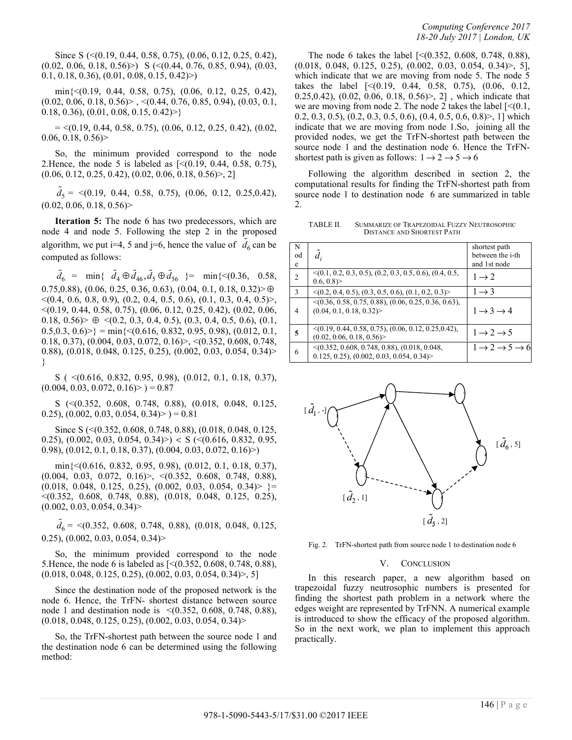Since S (<(0.19, 0.44, 0.58, 0.75), (0.06, 0.12, 0.25, 0.42),  $(0.02, 0.06, 0.18, 0.56)$  S ( $\leq$  (0.44, 0.76, 0.85, 0.94), (0.03, 0.1, 0.18, 0.36), (0.01, 0.08, 0.15, 0.42)>)

min{<(0.19, 0.44, 0.58, 0.75), (0.06, 0.12, 0.25, 0.42),  $(0.02, 0.06, 0.18, 0.56)$  >  $, \leq (0.44, 0.76, 0.85, 0.94)$ ,  $(0.03, 0.1, 0.03, 0.1)$ 0.18, 0.36),  $(0.01, 0.08, 0.15, 0.42)$ 

 $=$  <(0.19, 0.44, 0.58, 0.75), (0.06, 0.12, 0.25, 0.42), (0.02,  $0.06, 0.18, 0.56$ 

So, the minimum provided correspond to the node 2. Hence, the node 5 is labeled as  $\lceil \leq (0.19, 0.44, 0.58, 0.75) \rceil$ ,  $(0.06, 0.12, 0.25, 0.42), (0.02, 0.06, 0.18, 0.56)$ , 2]

 $\tilde{d}_5$  = <(0.19, 0.44, 0.58, 0.75), (0.06, 0.12, 0.25, 0.42),  $(0.02, 0.06, 0.18, 0.56)$ 

**Iteration 5:** The node 6 has two predecessors, which are node 4 and node 5. Following the step 2 in the proposed algorithm, we put i=4, 5 and j=6, hence the value of  $\tilde{d}_6$  can be computed as follows:

 $\tilde{d}_6$  = min{  $\tilde{d}_4 \oplus \tilde{d}_{46}, \tilde{d}_5 \oplus \tilde{d}_{56}$  }= min{<(0.36, 0.58, 0.75,0.88),  $(0.06, 0.25, 0.36, 0.63)$ ,  $(0.04, 0.1, 0.18, 0.32)$   $\oplus$  $\langle (0.4, 0.6, 0.8, 0.9), (0.2, 0.4, 0.5, 0.6), (0.1, 0.3, 0.4, 0.5) \rangle$ <(0.19, 0.44, 0.58, 0.75), (0.06, 0.12, 0.25, 0.42), (0.02, 0.06, 0.18, 0.56 $>\oplus$  <(0.2, 0.3, 0.4, 0.5), (0.3, 0.4, 0.5, 0.6), (0.1,  $0.5,0.3, 0.6$   $\geq$  = min{  $\leq$  (0.616, 0.832, 0.95, 0.98), (0.012, 0.1, 0.18, 0.37), (0.004, 0.03, 0.072, 0.16)>, <(0.352, 0.608, 0.748, 0.88), (0.018, 0.048, 0.125, 0.25), (0.002, 0.03, 0.054, 0.34)> }

S ( <(0.616, 0.832, 0.95, 0.98), (0.012, 0.1, 0.18, 0.37),  $(0.004, 0.03, 0.072, 0.16) > 0.87$ 

S (<(0.352, 0.608, 0.748, 0.88), (0.018, 0.048, 0.125, 0.25),  $(0.002, 0.03, 0.054, 0.34) > 0.81$ 

Since S (<(0.352, 0.608, 0.748, 0.88), (0.018, 0.048, 0.125, 0.25), (0.002, 0.03, 0.054, 0.34) >  $\langle \langle (0.616, 0.832, 0.95, 0.95, 0.95, 0.95, 0.95, 0.95, 0.95, 0.95, 0.95, 0.95, 0.95, 0.95, 0.95, 0.95, 0.95, 0.95, 0.95, 0.95, 0.95, 0.95, 0.95, 0.95, 0.95, 0.95, 0.95, 0.95, 0.95, 0.9$ 0.98), (0.012, 0.1, 0.18, 0.37), (0.004, 0.03, 0.072, 0.16)>)

min{<(0.616, 0.832, 0.95, 0.98), (0.012, 0.1, 0.18, 0.37),  $(0.004, 0.03, 0.072, 0.16)$ ,  $\langle (0.352, 0.608, 0.748, 0.88)$ ,  $(0.018, 0.048, 0.125, 0.25), (0.002, 0.03, 0.054, 0.34)$  = <(0.352, 0.608, 0.748, 0.88), (0.018, 0.048, 0.125, 0.25),  $(0.002, 0.03, 0.054, 0.34)$ 

 $\tilde{d}_6$  = <(0.352, 0.608, 0.748, 0.88), (0.018, 0.048, 0.125, 0.25), (0.002, 0.03, 0.054, 0.34)>

So, the minimum provided correspond to the node 5.Hence, the node 6 is labeled as [<(0.352, 0.608, 0.748, 0.88),  $(0.018, 0.048, 0.125, 0.25), (0.002, 0.03, 0.054, 0.34)$ 

Since the destination node of the proposed network is the node 6. Hence, the TrFN- shortest distance between source node 1 and destination node is <(0.352, 0.608, 0.748, 0.88), (0.018, 0.048, 0.125, 0.25), (0.002, 0.03, 0.054, 0.34)>

So, the TrFN-shortest path between the source node 1 and the destination node 6 can be determined using the following method:

The node 6 takes the label [<(0.352, 0.608, 0.748, 0.88), (0.018, 0.048, 0.125, 0.25), (0.002, 0.03, 0.054, 0.34)>, 5], which indicate that we are moving from node 5. The node 5 takes the label [<(0.19, 0.44, 0.58, 0.75), (0.06, 0.12, 0.25,0.42), (0.02, 0.06, 0.18, 0.56)>, 2] , which indicate that we are moving from node 2. The node 2 takes the label  $\lceil \leq (0.1, 1) \rceil$ 0.2, 0.3, 0.5), (0.2, 0.3, 0.5, 0.6), (0.4, 0.5, 0.6, 0.8)>, 1] which indicate that we are moving from node 1.So, joining all the provided nodes, we get the TrFN-shortest path between the source node 1 and the destination node 6. Hence the TrFNshortest path is given as follows:  $1\rightarrow 2\rightarrow 5\rightarrow 6$ 

Following the algorithm described in section 2, the computational results for finding the TrFN-shortest path from source node 1 to destination node 6 are summarized in table 2.

TABLE II. SUMMARIZE OF TRAPEZOIDAL FUZZY NEUTROSOPHIC DISTANCE AND SHORTEST PATH

| N<br>od<br>e   | $\tilde{d}_i$                                                                                   | shortest path<br>between the i-th<br>and 1st node |
|----------------|-------------------------------------------------------------------------------------------------|---------------------------------------------------|
| 2              | $\leq$ (0.1, 0.2, 0.3, 0.5), (0.2, 0.3, 0.5, 0.6), (0.4, 0.5,<br>0.6, 0.8                       | $1 \rightarrow 2$                                 |
| 3              | $\leq$ (0.2, 0.4, 0.5), (0.3, 0.5, 0.6), (0.1, 0.2, 0.3)>                                       | $1 \rightarrow 3$                                 |
| $\overline{4}$ | $\leq$ (0.36, 0.58, 0.75, 0.88), (0.06, 0.25, 0.36, 0.63),<br>(0.04, 0.1, 0.18, 0.32)           | $1 \rightarrow 3 \rightarrow 4$                   |
| 5              | $\leq$ (0.19, 0.44, 0.58, 0.75), (0.06, 0.12, 0.25, 0.42),<br>(0.02, 0.06, 0.18, 0.56)          | $1 \rightarrow 2 \rightarrow 5$                   |
| 6              | $\leq$ (0.352, 0.608, 0.748, 0.88), (0.018, 0.048,<br>$0.125, 0.25, (0.002, 0.03, 0.054, 0.34)$ | $1 \rightarrow 2 \rightarrow 5 \rightarrow 6$     |



Fig. 2. TrFN-shortest path from source node 1 to destination node 6

#### V. CONCLUSION

In this research paper, a new algorithm based on trapezoidal fuzzy neutrosophic numbers is presented for finding the shortest path problem in a network where the edges weight are represented by TrFNN. A numerical example is introduced to show the efficacy of the proposed algorithm. So in the next work, we plan to implement this approach practically.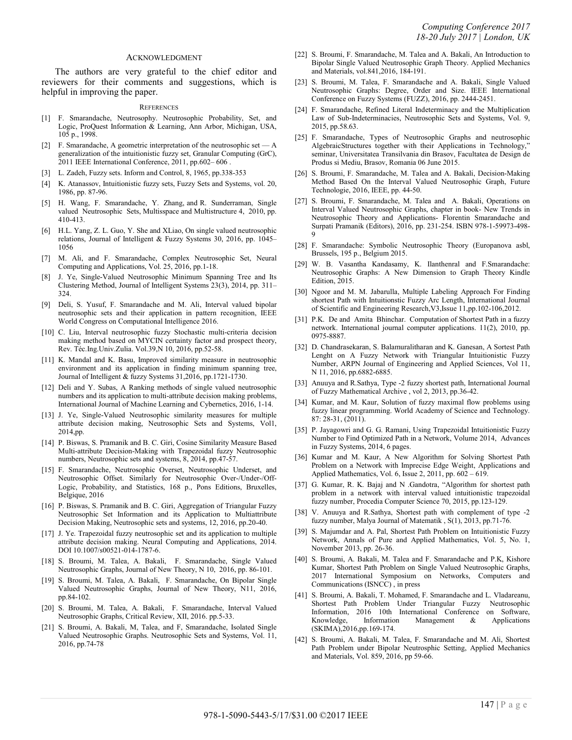#### ACKNOWLEDGMENT

The authors are very grateful to the chief editor and reviewers for their comments and suggestions, which is helpful in improving the paper.

#### **REFERENCES**

- [1] F. Smarandache, Neutrosophy. Neutrosophic Probability, Set, and Logic, ProQuest Information & Learning, Ann Arbor, Michigan, USA, 105 p., 1998.
- [2] F. Smarandache, A geometric interpretation of the neutrosophic set  $-A$ generalization of the intuitionistic fuzzy set, Granular Computing (GrC), 2011 IEEE International Conference, 2011, pp.602– 606 .
- [3] L. Zadeh, Fuzzy sets. Inform and Control, 8, 1965, pp.338-353
- [4] K. Atanassov, Intuitionistic fuzzy sets, Fuzzy Sets and Systems, vol. 20, 1986, pp. 87-96.
- [5] H. Wang, F. Smarandache, Y. Zhang, and R. Sunderraman, Single valued Neutrosophic Sets, Multisspace and Multistructure 4, 2010, pp. 410-413.
- [6] H.L. Yang, Z. L. Guo, Y. She and XLiao, On single valued neutrosophic relations, Journal of Intelligent & Fuzzy Systems 30, 2016, pp. 1045– 1056
- [7] M. Ali, and F. Smarandache, Complex Neutrosophic Set, Neural Computing and Applications, Vol. 25, 2016, pp.1-18.
- [8] J. Ye, Single-Valued Neutrosophic Minimum Spanning Tree and Its Clustering Method, Journal of Intelligent Systems 23(3), 2014, pp. 311– 324.
- [9] Deli, S. Yusuf, F. Smarandache and M. Ali, Interval valued bipolar neutrosophic sets and their application in pattern recognition, IEEE World Congress on Computational Intelligence 2016.
- [10] C. Liu, Interval neutrosophic fuzzy Stochastic multi-criteria decision making method based on MYCIN certainty factor and prospect theory, Rev. Téc.Ing.Univ.Zulia. Vol.39,N 10, 2016, pp.52-58.
- [11] K. Mandal and K. Basu, Improved similarity measure in neutrosophic environment and its application in finding minimum spanning tree, Journal of Intelligent & fuzzy Systems 31,2016, pp.1721-1730.
- [12] Deli and Y. Subas, A Ranking methods of single valued neutrosophic numbers and its application to multi-attribute decision making problems, International Journal of Machine Learning and Cybernetics, 2016, 1-14.
- [13] J. Ye, Single-Valued Neutrosophic similarity measures for multiple attribute decision making, Neutrosophic Sets and Systems, Vol1, 2014,pp.
- [14] P. Biswas, S. Pramanik and B. C. Giri, Cosine Similarity Measure Based Multi-attribute Decision-Making with Trapezoidal fuzzy Neutrosophic numbers, Neutrosophic sets and systems, 8, 2014, pp.47-57.
- [15] F. Smarandache, Neutrosophic Overset, Neutrosophic Underset, and Neutrosophic Offset. Similarly for Neutrosophic Over-/Under-/Off-Logic, Probability, and Statistics, 168 p., Pons Editions, Bruxelles, Belgique, 2016
- [16] P. Biswas, S. Pramanik and B. C. Giri, Aggregation of Triangular Fuzzy Neutrosophic Set Information and its Application to Multiattribute Decision Making, Neutrosophic sets and systems, 12, 2016, pp.20-40.
- [17] J. Ye. Trapezoidal fuzzy neutrosophic set and its application to multiple attribute decision making. Neural Computing and Applications, 2014. DOI 10.1007/s00521-014-1787-6.
- [18] S. Broumi, M. Talea, A. Bakali, F. Smarandache, Single Valued Neutrosophic Graphs, Journal of New Theory, N 10, 2016, pp. 86-101.
- [19] S. Broumi, M. Talea, A. Bakali, F. Smarandache, On Bipolar Single Valued Neutrosophic Graphs, Journal of New Theory, N11, 2016, pp.84-102.
- [20] S. Broumi, M. Talea, A. Bakali, F. Smarandache, Interval Valued Neutrosophic Graphs, Critical Review, XII, 2016. pp.5-33.
- [21] S. Broumi, A. Bakali, M, Talea, and F, Smarandache, Isolated Single Valued Neutrosophic Graphs. Neutrosophic Sets and Systems, Vol. 11, 2016, pp.74-78
- [22] S. Broumi, F. Smarandache, M. Talea and A. Bakali, An Introduction to Bipolar Single Valued Neutrosophic Graph Theory. Applied Mechanics and Materials, vol.841,2016, 184-191.
- [23] S. Broumi, M. Talea, F. Smarandache and A. Bakali, Single Valued Neutrosophic Graphs: Degree, Order and Size. IEEE International Conference on Fuzzy Systems (FUZZ), 2016, pp. 2444-2451.
- [24] F. Smarandache, Refined Literal Indeterminacy and the Multiplication Law of Sub-Indeterminacies, Neutrosophic Sets and Systems, Vol. 9, 2015, pp.58.63.
- [25] F. Smarandache, Types of Neutrosophic Graphs and neutrosophic AlgebraicStructures together with their Applications in Technology," seminar, Universitatea Transilvania din Brasov, Facultatea de Design de Produs si Mediu, Brasov, Romania 06 June 2015.
- [26] S. Broumi, F. Smarandache, M. Talea and A. Bakali, Decision-Making Method Based On the Interval Valued Neutrosophic Graph, Future Technologie, 2016, IEEE, pp. 44-50.
- [27] S. Broumi, F. Smarandache, M. Talea and A. Bakali, Operations on Interval Valued Neutrosophic Graphs, chapter in book- New Trends in Neutrosophic Theory and Applications- Florentin Smarandache and Surpati Pramanik (Editors), 2016, pp. 231-254. ISBN 978-1-59973-498- 9
- [28] F. Smarandache: Symbolic Neutrosophic Theory (Europanova asbl, Brussels, 195 p., Belgium 2015.
- [29] W. B. Vasantha Kandasamy, K. Ilanthenral and F.Smarandache: Neutrosophic Graphs: A New Dimension to Graph Theory Kindle Edition, 2015.
- [30] Ngoor and M. M. Jabarulla, Multiple Labeling Approach For Finding shortest Path with Intuitionstic Fuzzy Arc Length, International Journal of Scientific and Engineering Research,V3,Issue 11,pp.102-106,2012.
- [31] P.K. De and Amita Bhinchar. Computation of Shortest Path in a fuzzy network. International journal computer applications. 11(2), 2010, pp. 0975-8887.
- [32] D. Chandrasekaran, S. Balamuralitharan and K. Ganesan, A Sortest Path Lenght on A Fuzzy Network with Triangular Intuitionistic Fuzzy Number, ARPN Journal of Engineering and Applied Sciences, Vol 11, N 11, 2016, pp.6882-6885.
- [33] Anuuya and R.Sathya, Type -2 fuzzy shortest path, International Journal of Fuzzy Mathematical Archive , vol 2, 2013, pp.36-42.
- [34] Kumar, and M. Kaur, Solution of fuzzy maximal flow problems using fuzzy linear programming. World Academy of Science and Technology. 87: 28-31, (2011).
- [35] P. Jayagowri and G. G. Ramani, Using Trapezoidal Intuitionistic Fuzzy Number to Find Optimized Path in a Network, Volume 2014, Advances in Fuzzy Systems, 2014, 6 pages.
- [36] Kumar and M. Kaur, A New Algorithm for Solving Shortest Path Problem on a Network with Imprecise Edge Weight, Applications and Applied Mathematics, Vol. 6, Issue 2, 2011, pp. 602 – 619.
- [37] G. Kumar, R. K. Bajaj and N . Gandotra, "Algorithm for shortest path problem in a network with interval valued intuitionistic trapezoidal fuzzy number, Procedia Computer Science 70, 2015, pp.123-129.
- [38] V. Anuuya and R.Sathya, Shortest path with complement of type -2 fuzzy number, Malya Journal of Matematik , S(1), 2013, pp.71-76.
- [39] S. Majumdar and A. Pal, Shortest Path Problem on Intuitionistic Fuzzy Network, Annals of Pure and Applied Mathematics, Vol. 5, No. 1, November 2013, pp. 26-36.
- [40] S. Broumi, A. Bakali, M. Talea and F. Smarandache and P.K, Kishore Kumar, Shortest Path Problem on Single Valued Neutrosophic Graphs, 2017 International Symposium on Networks, Computers and Communications (ISNCC) , in press
- [41] S. Broumi, A. Bakali, T. Mohamed, F. Smarandache and L. Vladareanu, Shortest Path Problem Under Triangular Fuzzy Neutrosophic Information, 2016 10th International Conference on Software, Knowledge, Information Management & Applications (SKIMA),2016,pp.169-174.
- [42] S. Broumi, A. Bakali, M. Talea, F. Smarandache and M. Ali, Shortest Path Problem under Bipolar Neutrosphic Setting, Applied Mechanics and Materials, Vol. 859, 2016, pp 59-66.